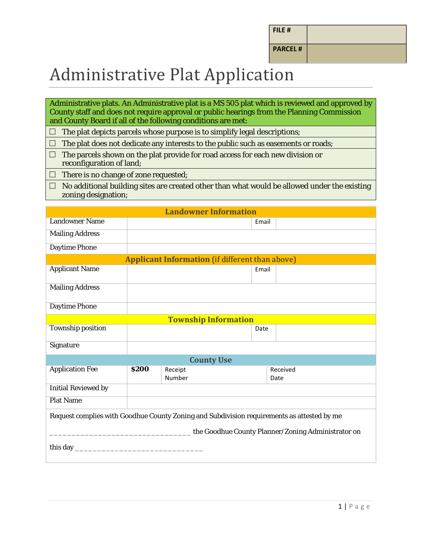| FILE # |
|--------|
|--------|

**PARCEL #**

## Administrative Plat Application

Administrative plats. An Administrative plat is a MS 505 plat which is reviewed and approved by County staff and does not require approval or public hearings from the Planning Commission and County Board if all of the following conditions are met:

 $\Box$  The plat depicts parcels whose purpose is to simplify legal descriptions;

 $\Box$  The plat does not dedicate any interests to the public such as easements or roads;

- $\Box$  The parcels shown on the plat provide for road access for each new division or reconfiguration of land;
- $\Box$  There is no change of zone requested;
- $\Box$  No additional building sites are created other than what would be allowed under the existing zoning designation;

| <b>Landowner Information</b>                                                               |              |                   |       |                  |  |
|--------------------------------------------------------------------------------------------|--------------|-------------------|-------|------------------|--|
| <b>Landowner Name</b>                                                                      |              |                   | Email |                  |  |
| <b>Mailing Address</b>                                                                     |              |                   |       |                  |  |
| <b>Daytime Phone</b>                                                                       |              |                   |       |                  |  |
| <b>Applicant Information (if different than above)</b>                                     |              |                   |       |                  |  |
| <b>Applicant Name</b>                                                                      |              |                   | Email |                  |  |
| <b>Mailing Address</b>                                                                     |              |                   |       |                  |  |
| <b>Daytime Phone</b>                                                                       |              |                   |       |                  |  |
| <b>Township Information</b>                                                                |              |                   |       |                  |  |
| <b>Township position</b>                                                                   |              |                   | Date  |                  |  |
| Signature                                                                                  |              |                   |       |                  |  |
| <b>County Use</b>                                                                          |              |                   |       |                  |  |
| <b>Application Fee</b>                                                                     | <b>\$200</b> | Receipt<br>Number |       | Received<br>Date |  |
| <b>Initial Reviewed by</b>                                                                 |              |                   |       |                  |  |
| <b>Plat Name</b>                                                                           |              |                   |       |                  |  |
| Request complies with Goodhue County Zoning and Subdivision requirements as attested by me |              |                   |       |                  |  |
| the Goodhue County Planner/Zoning Administrator on                                         |              |                   |       |                  |  |
|                                                                                            |              |                   |       |                  |  |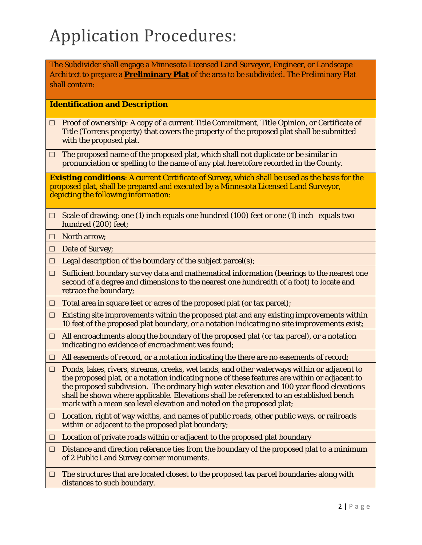The Subdivider shall engage a Minnesota Licensed Land Surveyor, Engineer, or Landscape Architect to prepare a **Preliminary Plat** of the area to be subdivided. The Preliminary Plat shall contain:

#### **Identification and Description**

- $\Box$  Proof of ownership: A copy of a current Title Commitment, Title Opinion, or Certificate of Title (Torrens property) that covers the property of the proposed plat shall be submitted with the proposed plat.
- $\Box$  The proposed name of the proposed plat, which shall not duplicate or be similar in pronunciation or spelling to the name of any plat heretofore recorded in the County.

**Existing conditions**: A current Certificate of Survey, which shall be used as the basis for the proposed plat, shall be prepared and executed by a Minnesota Licensed Land Surveyor, depicting the following information:

- $\Box$  Scale of drawing; one (1) inch equals one hundred (100) feet or one (1) inch equals two hundred (200) feet;
- □ North arrow:
- □ Date of Survey;
- $\Box$  Legal description of the boundary of the subject parcel(s);
- $\Box$  Sufficient boundary survey data and mathematical information (bearings to the nearest one second of a degree and dimensions to the nearest one hundredth of a foot) to locate and retrace the boundary;
- $\Box$  Total area in square feet or acres of the proposed plat (or tax parcel);
- $\Box$  Existing site improvements within the proposed plat and any existing improvements within 10 feet of the proposed plat boundary, or a notation indicating no site improvements exist;
- $\Box$  All encroachments along the boundary of the proposed plat (or tax parcel), or a notation indicating no evidence of encroachment was found;
- $\Box$  All easements of record, or a notation indicating the there are no easements of record;
- $\Box$  Ponds, lakes, rivers, streams, creeks, wet lands, and other waterways within or adjacent to the proposed plat, or a notation indicating none of these features are within or adjacent to the proposed subdivision. The ordinary high water elevation and 100 year flood elevations shall be shown where applicable. Elevations shall be referenced to an established bench mark with a mean sea level elevation and noted on the proposed plat;
- $\Box$  Location, right of way widths, and names of public roads, other public ways, or railroads within or adjacent to the proposed plat boundary;
- $\Box$  Location of private roads within or adjacent to the proposed plat boundary
- $\Box$  Distance and direction reference ties from the boundary of the proposed plat to a minimum of 2 Public Land Survey corner monuments.
- $\Box$  The structures that are located closest to the proposed tax parcel boundaries along with distances to such boundary.